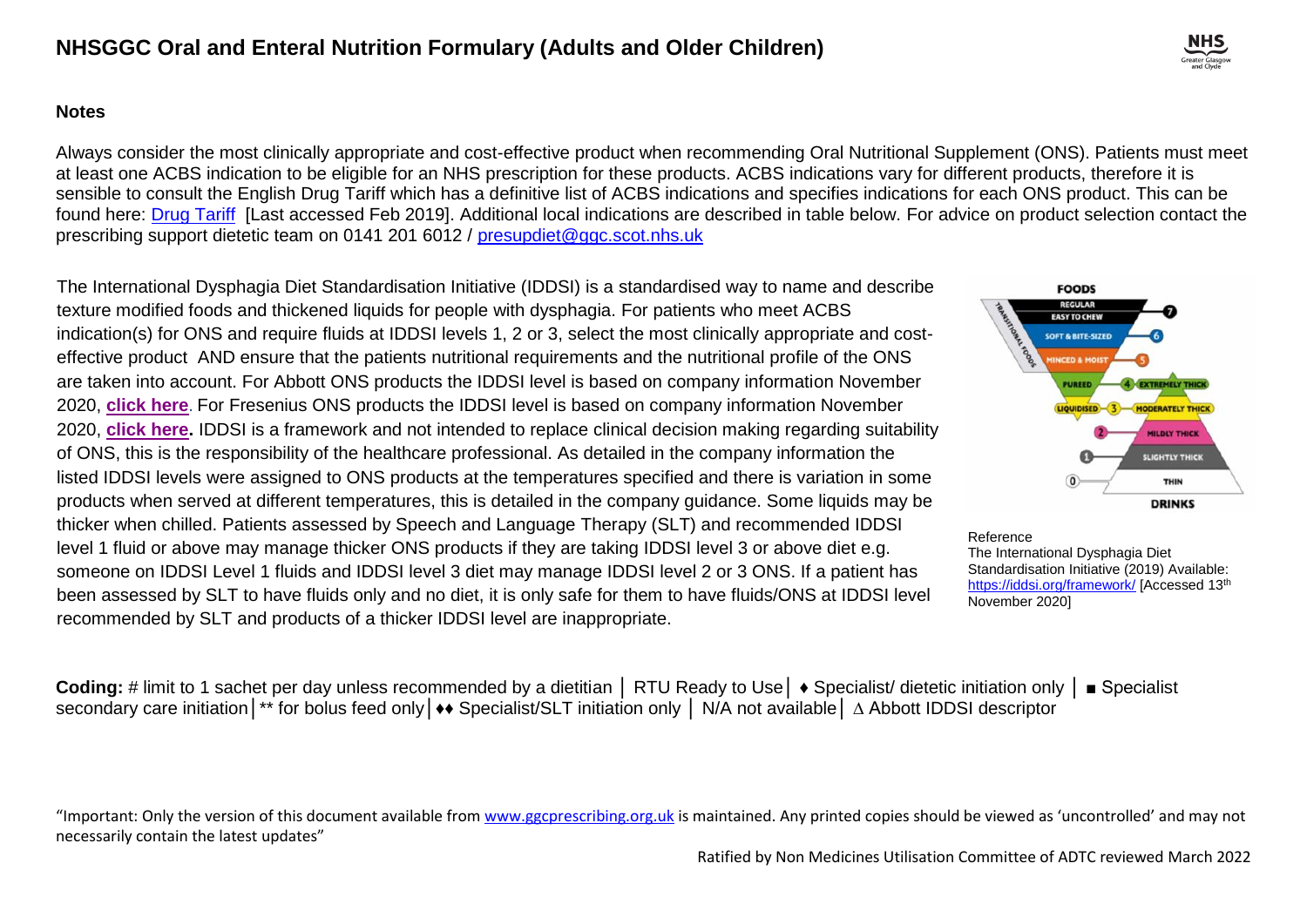#### **Notes**

Always consider the most clinically appropriate and cost-effective product when recommending Oral Nutritional Supplement (ONS). Patients must meet at least one ACBS indication to be eligible for an NHS prescription for these products. ACBS indications vary for different products, therefore it is sensible to consult the English Drug Tariff which has a definitive list of ACBS indications and specifies indications for each ONS product. This can be found here: [Drug Tariff](https://www.nhsbsa.nhs.uk/pharmacies-gp-practices-and-appliance-contractors/drug-tariff) [Last accessed Feb 2019]. Additional local indications are described in table below. For advice on product selection contact the prescribing support dietetic team on 0141 201 6012 / [presupdiet@ggc.scot.nhs.uk](mailto:presupdiet@ggc.scot.nhs.uk)

The International Dysphagia Diet Standardisation Initiative (IDDSI) is a standardised way to name and describe texture modified foods and thickened liquids for people with dysphagia. For patients who meet ACBS indication(s) for ONS and require fluids at IDDSI levels 1, 2 or 3, select the most clinically appropriate and costeffective product AND ensure that the patients nutritional requirements and the nutritional profile of the ONS are taken into account. For Abbott ONS products the IDDSI level is based on company information November 2020, **[click here](https://ggcmedicines.org.uk/media/dijjlcjd/abbott-iddsi-testing-oct-2020-2.pdf)**. For Fresenius ONS products the IDDSI level is based on company information November 2020, **[click here.](https://ggcmedicines.org.uk/media/1ftfgd3g/fresubin-ons-iddsi-levels-oct-2020-final-2.pdf)** IDDSI is a framework and not intended to replace clinical decision making regarding suitability of ONS, this is the responsibility of the healthcare professional. As detailed in the company information the listed IDDSI levels were assigned to ONS products at the temperatures specified and there is variation in some products when served at different temperatures, this is detailed in the company guidance. Some liquids may be thicker when chilled. Patients assessed by Speech and Language Therapy (SLT) and recommended IDDSI level 1 fluid or above may manage thicker ONS products if they are taking IDDSI level 3 or above diet e.g. someone on IDDSI Level 1 fluids and IDDSI level 3 diet may manage IDDSI level 2 or 3 ONS. If a patient has been assessed by SLT to have fluids only and no diet, it is only safe for them to have fluids/ONS at IDDSI level recommended by SLT and products of a thicker IDDSI level are inappropriate.



Reference

The International Dysphagia Diet Standardisation Initiative (2019) Available: <https://iddsi.org/framework/> [Accessed 13<sup>th</sup> November 2020]

Coding: # limit to 1 sachet per day unless recommended by a dietitian | RTU Ready to Use | ♦ Specialist/ dietetic initiation only | ■ Specialist secondary care initiation│\*\* for bolus feed only│♦♦ Specialist/SLT initiation only │ N/A not available│ ∆ Abbott IDDSI descriptor

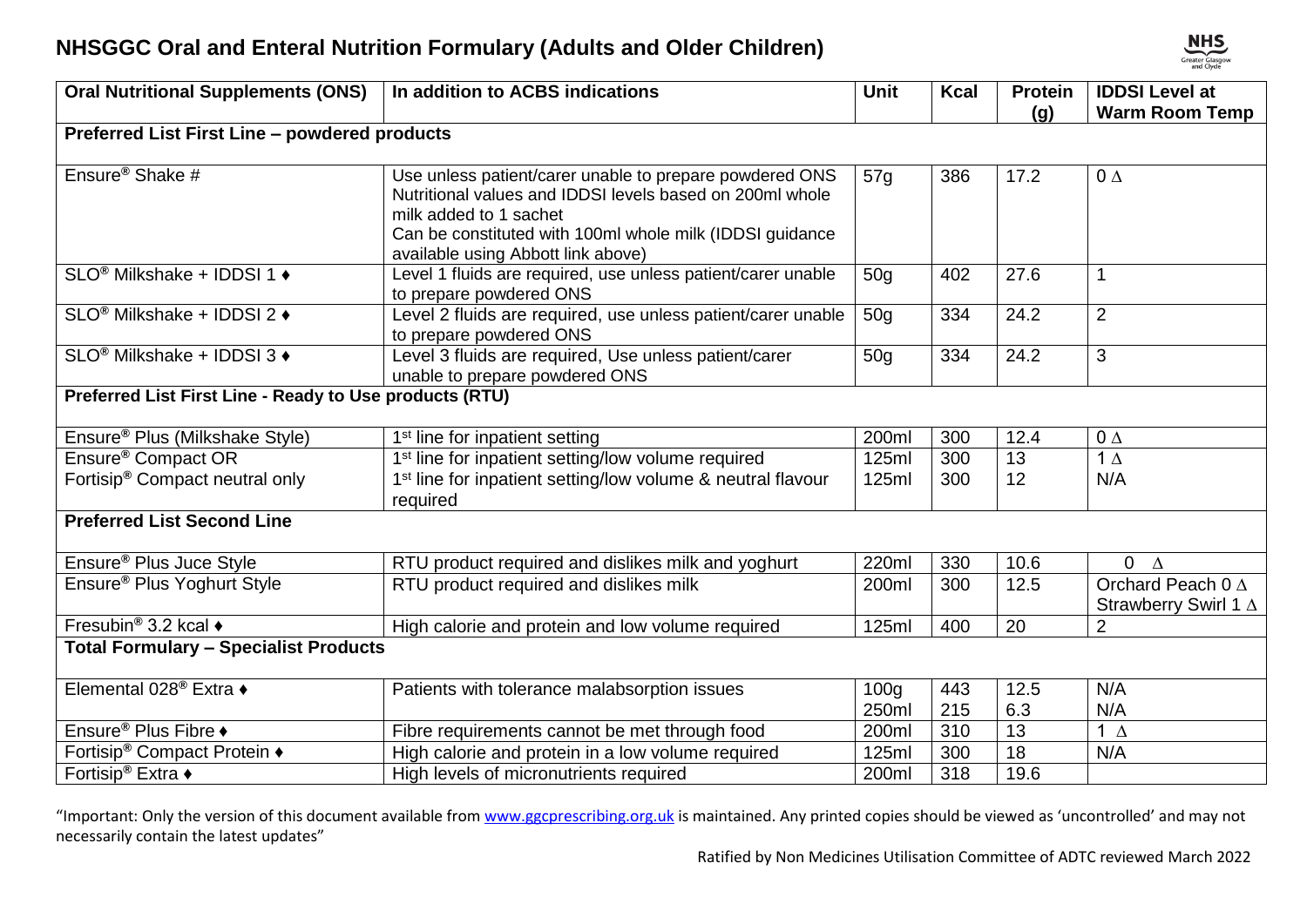| <b>Oral Nutritional Supplements (ONS)</b>               | In addition to ACBS indications                                                                                                                                                                                                                 | <b>Unit</b>               | <b>Kcal</b> | <b>Protein</b>  | <b>IDDSI Level at</b>                     |  |
|---------------------------------------------------------|-------------------------------------------------------------------------------------------------------------------------------------------------------------------------------------------------------------------------------------------------|---------------------------|-------------|-----------------|-------------------------------------------|--|
|                                                         |                                                                                                                                                                                                                                                 |                           |             | (g)             | <b>Warm Room Temp</b>                     |  |
| Preferred List First Line - powdered products           |                                                                                                                                                                                                                                                 |                           |             |                 |                                           |  |
| Ensure <sup>®</sup> Shake #                             | Use unless patient/carer unable to prepare powdered ONS<br>Nutritional values and IDDSI levels based on 200ml whole<br>milk added to 1 sachet<br>Can be constituted with 100ml whole milk (IDDSI guidance<br>available using Abbott link above) | 57g                       | 386         | 17.2            | $0\Delta$                                 |  |
| SLO <sup>®</sup> Milkshake + IDDSI 1 ♦                  | Level 1 fluids are required, use unless patient/carer unable<br>to prepare powdered ONS                                                                                                                                                         | 50 <sub>q</sub>           | 402         | 27.6            | $\mathbf 1$                               |  |
| SLO <sup>®</sup> Milkshake + IDDSI 2 ♦                  | Level 2 fluids are required, use unless patient/carer unable<br>to prepare powdered ONS                                                                                                                                                         | 50 <sub>g</sub>           | 334         | 24.2            | $\overline{2}$                            |  |
| SLO <sup>®</sup> Milkshake + IDDSI 3 ♦                  | Level 3 fluids are required, Use unless patient/carer<br>unable to prepare powdered ONS                                                                                                                                                         | 50 <sub>g</sub>           | 334         | 24.2            | $\mathbf{3}$                              |  |
| Preferred List First Line - Ready to Use products (RTU) |                                                                                                                                                                                                                                                 |                           |             |                 |                                           |  |
| Ensure <sup>®</sup> Plus (Milkshake Style)              | 1 <sup>st</sup> line for inpatient setting                                                                                                                                                                                                      | 200ml                     | 300         | 12.4            | $0\Delta$                                 |  |
| Ensure <sup>®</sup> Compact OR                          | 1 <sup>st</sup> line for inpatient setting/low volume required                                                                                                                                                                                  | 125ml                     | 300         | $\overline{13}$ | $1\Delta$                                 |  |
| Fortisip <sup>®</sup> Compact neutral only              | 1 <sup>st</sup> line for inpatient setting/low volume & neutral flavour<br>required                                                                                                                                                             | 125ml                     | 300         | 12              | N/A                                       |  |
| <b>Preferred List Second Line</b>                       |                                                                                                                                                                                                                                                 |                           |             |                 |                                           |  |
| Ensure <sup>®</sup> Plus Juce Style                     | RTU product required and dislikes milk and yoghurt                                                                                                                                                                                              | 220ml                     | 330         | 10.6            | $0 \Delta$                                |  |
| Ensure <sup>®</sup> Plus Yoghurt Style                  | RTU product required and dislikes milk                                                                                                                                                                                                          | 200ml                     | 300         | 12.5            | Orchard Peach 0 ∆<br>Strawberry Swirl 1 A |  |
| Fresubin <sup>®</sup> 3.2 kcal $\triangle$              | High calorie and protein and low volume required                                                                                                                                                                                                | 125ml                     | 400         | 20              | $\overline{2}$                            |  |
| <b>Total Formulary - Specialist Products</b>            |                                                                                                                                                                                                                                                 |                           |             |                 |                                           |  |
| Elemental 028 <sup>®</sup> Extra $\triangleleft$        | Patients with tolerance malabsorption issues                                                                                                                                                                                                    | 100 <sub>g</sub><br>250ml | 443<br>215  | 12.5<br>6.3     | N/A<br>N/A                                |  |
| Ensure <sup>®</sup> Plus Fibre ♦                        | Fibre requirements cannot be met through food                                                                                                                                                                                                   | 200ml                     | 310         | 13              | 1 $\triangle$                             |  |
| Fortisip <sup>®</sup> Compact Protein ♦                 | High calorie and protein in a low volume required                                                                                                                                                                                               | 125ml                     | 300         | 18              | N/A                                       |  |
| Fortisip <sup>®</sup> Extra ◆                           | High levels of micronutrients required                                                                                                                                                                                                          | 200ml                     | 318         | 19.6            |                                           |  |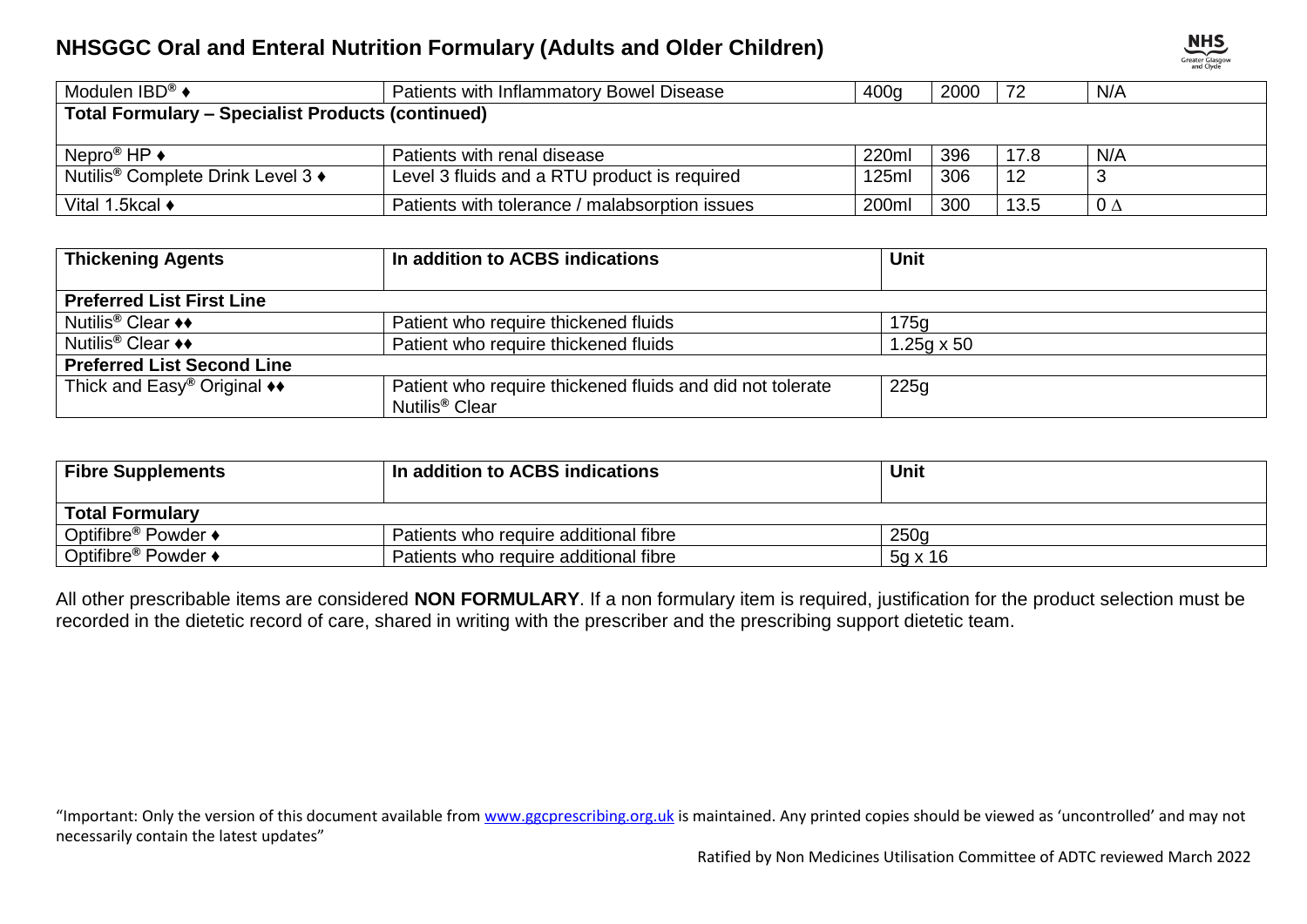| Modulen IBD® $\blacklozenge$                             | 400q<br>Patients with Inflammatory Bowel Disease |       | 2000 | 72   | N/A       |  |
|----------------------------------------------------------|--------------------------------------------------|-------|------|------|-----------|--|
| <b>Total Formulary – Specialist Products (continued)</b> |                                                  |       |      |      |           |  |
|                                                          |                                                  |       |      |      |           |  |
| Nepro <sup>®</sup> HP $\rightarrow$                      | Patients with renal disease                      | 220ml | 396  | 17.8 | N/A       |  |
| Nutilis <sup>®</sup> Complete Drink Level 3 ♦            | Level 3 fluids and a RTU product is required     | 125ml | 306  | 12   |           |  |
| Vital 1.5kcal ♦                                          | Patients with tolerance / malabsorption issues   | 200ml | 300  | 13.5 | $0\Delta$ |  |

| <b>Thickening Agents</b>                                       | In addition to ACBS indications                                                         | Unit              |  |  |  |
|----------------------------------------------------------------|-----------------------------------------------------------------------------------------|-------------------|--|--|--|
|                                                                |                                                                                         |                   |  |  |  |
| <b>Preferred List First Line</b>                               |                                                                                         |                   |  |  |  |
| Nutilis <sup>®</sup> Clear ♦♦                                  | Patient who require thickened fluids                                                    | 175g              |  |  |  |
| Nutilis <sup>®</sup> Clear ♦♦                                  | Patient who require thickened fluids                                                    | $1.25q \times 50$ |  |  |  |
| <b>Preferred List Second Line</b>                              |                                                                                         |                   |  |  |  |
| Thick and $\text{Easy}^{\circledR}$ Original $\leftrightarrow$ | Patient who require thickened fluids and did not tolerate<br>Nutilis <sup>®</sup> Clear | 225g              |  |  |  |

| <b>Fibre Supplements</b>        | In addition to ACBS indications       | Unit           |  |  |  |  |
|---------------------------------|---------------------------------------|----------------|--|--|--|--|
| <b>Total Formulary</b>          |                                       |                |  |  |  |  |
| Optifibre <sup>®</sup> Powder ♦ | Patients who require additional fibre | 250q           |  |  |  |  |
| Optifibre <sup>®</sup> Powder ♦ | Patients who require additional fibre | $5q \times 16$ |  |  |  |  |

All other prescribable items are considered **NON FORMULARY**. If a non formulary item is required, justification for the product selection must be recorded in the dietetic record of care, shared in writing with the prescriber and the prescribing support dietetic team.

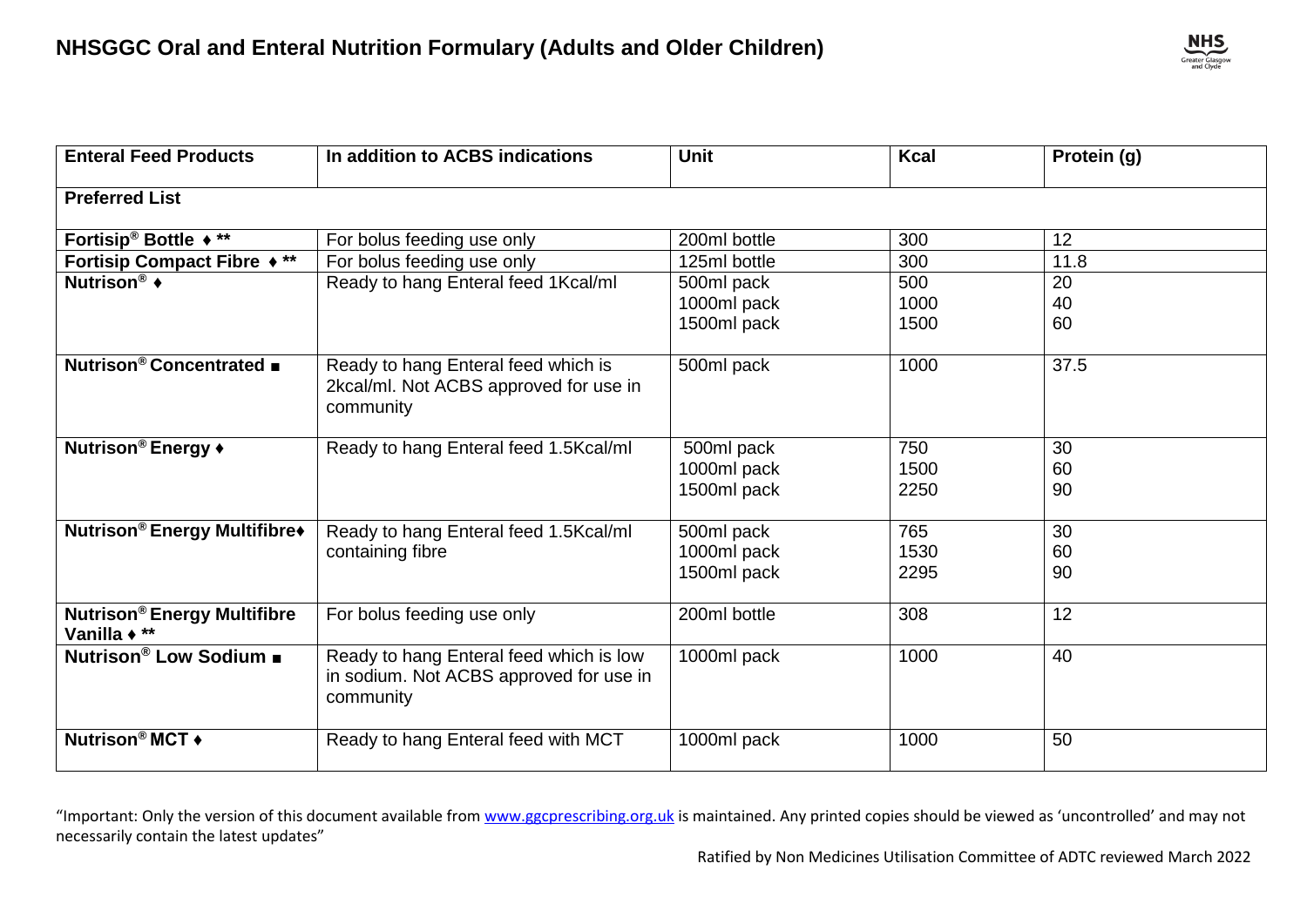

| <b>Enteral Feed Products</b>                       | In addition to ACBS indications                                                                 | <b>Unit</b>                              | <b>Kcal</b>         | Protein (g)    |  |  |
|----------------------------------------------------|-------------------------------------------------------------------------------------------------|------------------------------------------|---------------------|----------------|--|--|
| <b>Preferred List</b>                              |                                                                                                 |                                          |                     |                |  |  |
| Fortisip <sup>®</sup> Bottle $\star$ **            | For bolus feeding use only                                                                      | 200ml bottle                             | 300                 | 12             |  |  |
| Fortisip Compact Fibre ♦ **                        | For bolus feeding use only                                                                      | 125ml bottle                             | 300                 | 11.8           |  |  |
| Nutrison <sup>®</sup> ◆                            | Ready to hang Enteral feed 1Kcal/ml                                                             | 500ml pack<br>1000ml pack<br>1500ml pack | 500<br>1000<br>1500 | 20<br>40<br>60 |  |  |
| Nutrison <sup>®</sup> Concentrated ■               | Ready to hang Enteral feed which is<br>2kcal/ml. Not ACBS approved for use in<br>community      | 500ml pack                               | 1000                | 37.5           |  |  |
| Nutrison <sup>®</sup> Energy +                     | Ready to hang Enteral feed 1.5Kcal/ml                                                           | 500ml pack<br>1000ml pack<br>1500ml pack | 750<br>1500<br>2250 | 30<br>60<br>90 |  |  |
| <b>Nutrison®</b> Energy Multifibre+                | Ready to hang Enteral feed 1.5Kcal/ml<br>containing fibre                                       | 500ml pack<br>1000ml pack<br>1500ml pack | 765<br>1530<br>2295 | 30<br>60<br>90 |  |  |
| <b>Nutrison® Energy Multifibre</b><br>Vanilla + ** | For bolus feeding use only                                                                      | 200ml bottle                             | 308                 | 12             |  |  |
| Nutrison® Low Sodium ■                             | Ready to hang Enteral feed which is low<br>in sodium. Not ACBS approved for use in<br>community | 1000ml pack                              | 1000                | 40             |  |  |
| Nutrison <sup>®</sup> MCT ◆                        | Ready to hang Enteral feed with MCT                                                             | 1000ml pack                              | 1000                | 50             |  |  |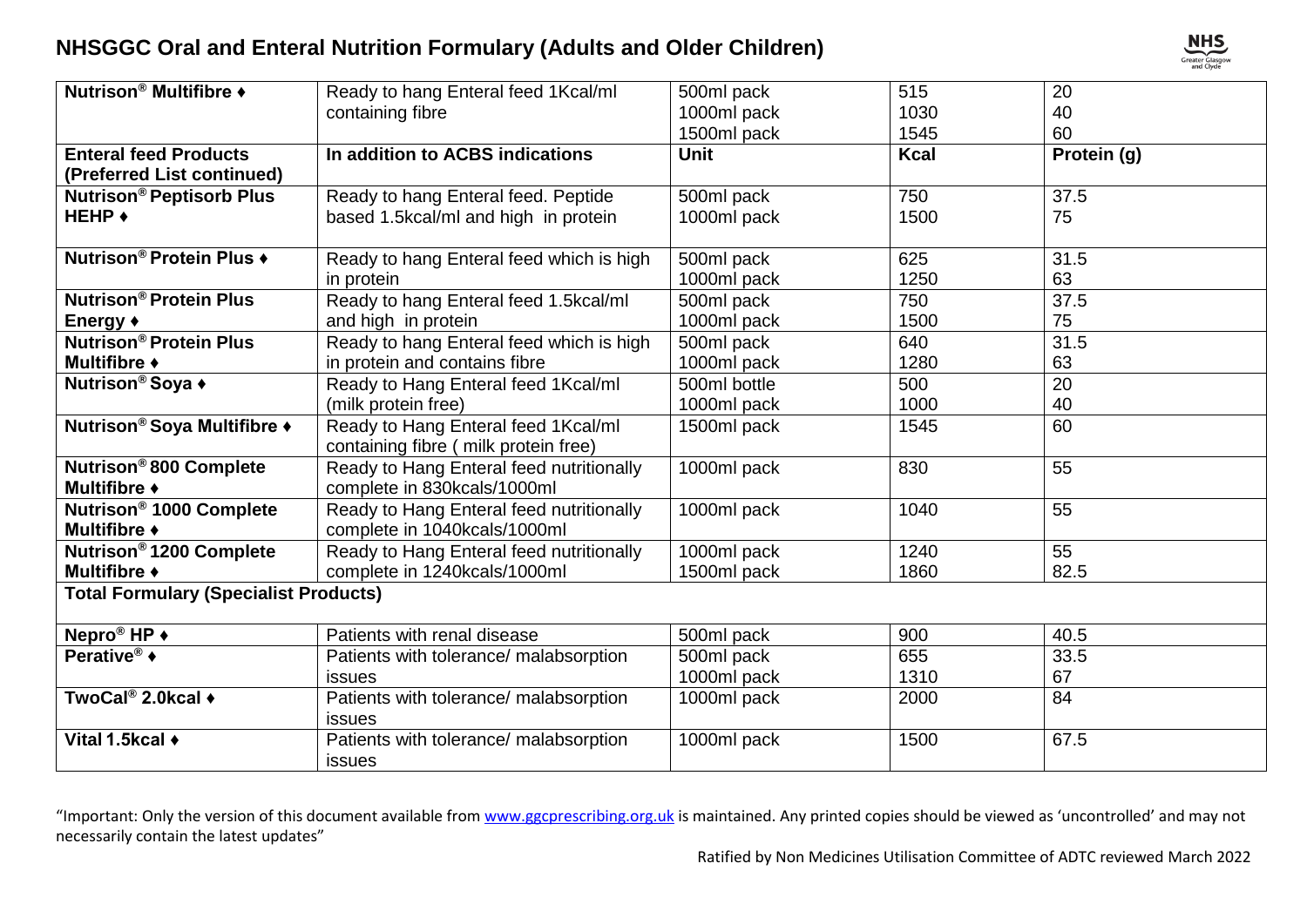

| Nutrison <sup>®</sup> Multifibre ♦           | Ready to hang Enteral feed 1Kcal/ml      | 500ml pack   | 515         | 20          |  |  |
|----------------------------------------------|------------------------------------------|--------------|-------------|-------------|--|--|
|                                              | containing fibre                         | 1000ml pack  | 1030        | 40          |  |  |
|                                              |                                          | 1500ml pack  | 1545        | 60          |  |  |
| <b>Enteral feed Products</b>                 | In addition to ACBS indications          | <b>Unit</b>  | <b>Kcal</b> | Protein (g) |  |  |
| (Preferred List continued)                   |                                          |              |             |             |  |  |
| <b>Nutrison<sup>®</sup> Peptisorb Plus</b>   | Ready to hang Enteral feed. Peptide      | 500ml pack   | 750         | 37.5        |  |  |
| <b>HEHP ◆</b>                                | based 1.5kcal/ml and high in protein     | 1000ml pack  | 1500        | 75          |  |  |
|                                              |                                          |              |             |             |  |  |
| Nutrison <sup>®</sup> Protein Plus ♦         | Ready to hang Enteral feed which is high | 500ml pack   | 625         | 31.5        |  |  |
|                                              | in protein                               | 1000ml pack  | 1250        | 63          |  |  |
| <b>Nutrison<sup>®</sup> Protein Plus</b>     | Ready to hang Enteral feed 1.5kcal/ml    | 500ml pack   | 750         | 37.5        |  |  |
| Energy +                                     | and high in protein                      | 1000ml pack  | 1500        | 75          |  |  |
| Nutrison® Protein Plus                       | Ready to hang Enteral feed which is high | 500ml pack   | 640         | 31.5        |  |  |
| Multifibre +                                 | in protein and contains fibre            | 1000ml pack  | 1280        | 63          |  |  |
| Nutrison <sup>®</sup> Soya +                 | Ready to Hang Enteral feed 1Kcal/ml      | 500ml bottle | 500         | 20          |  |  |
|                                              | (milk protein free)                      | 1000ml pack  | 1000        | 40          |  |  |
| Nutrison <sup>®</sup> Soya Multifibre ♦      | Ready to Hang Enteral feed 1Kcal/ml      | 1500ml pack  | 1545        | 60          |  |  |
|                                              | containing fibre ( milk protein free)    |              |             |             |  |  |
| Nutrison <sup>®</sup> 800 Complete           | Ready to Hang Enteral feed nutritionally | 1000ml pack  | 830         | 55          |  |  |
| Multifibre +                                 | complete in 830kcals/1000ml              |              |             |             |  |  |
| Nutrison <sup>®</sup> 1000 Complete          | Ready to Hang Enteral feed nutritionally | 1000ml pack  | 1040        | 55          |  |  |
| Multifibre +                                 | complete in 1040kcals/1000ml             |              |             |             |  |  |
| Nutrison <sup>®</sup> 1200 Complete          | Ready to Hang Enteral feed nutritionally | 1000ml pack  | 1240        | 55          |  |  |
| Multifibre +                                 | complete in 1240kcals/1000ml             | 1500ml pack  | 1860        | 82.5        |  |  |
| <b>Total Formulary (Specialist Products)</b> |                                          |              |             |             |  |  |
| Nepro <sup>®</sup> HP +                      | Patients with renal disease              | 500ml pack   | 900         | 40.5        |  |  |
| Perative® $\bullet$                          | Patients with tolerance/ malabsorption   | 500ml pack   | 655         | 33.5        |  |  |
|                                              | <b>issues</b>                            | 1000ml pack  | 1310        | 67          |  |  |
| TwoCal® 2.0kcal $\blacklozenge$              | Patients with tolerance/ malabsorption   | 1000ml pack  | 2000        | 84          |  |  |
|                                              | <b>issues</b>                            |              |             |             |  |  |
| Vital 1.5kcal +                              | Patients with tolerance/ malabsorption   | 1000ml pack  | 1500        | 67.5        |  |  |
|                                              | <b>issues</b>                            |              |             |             |  |  |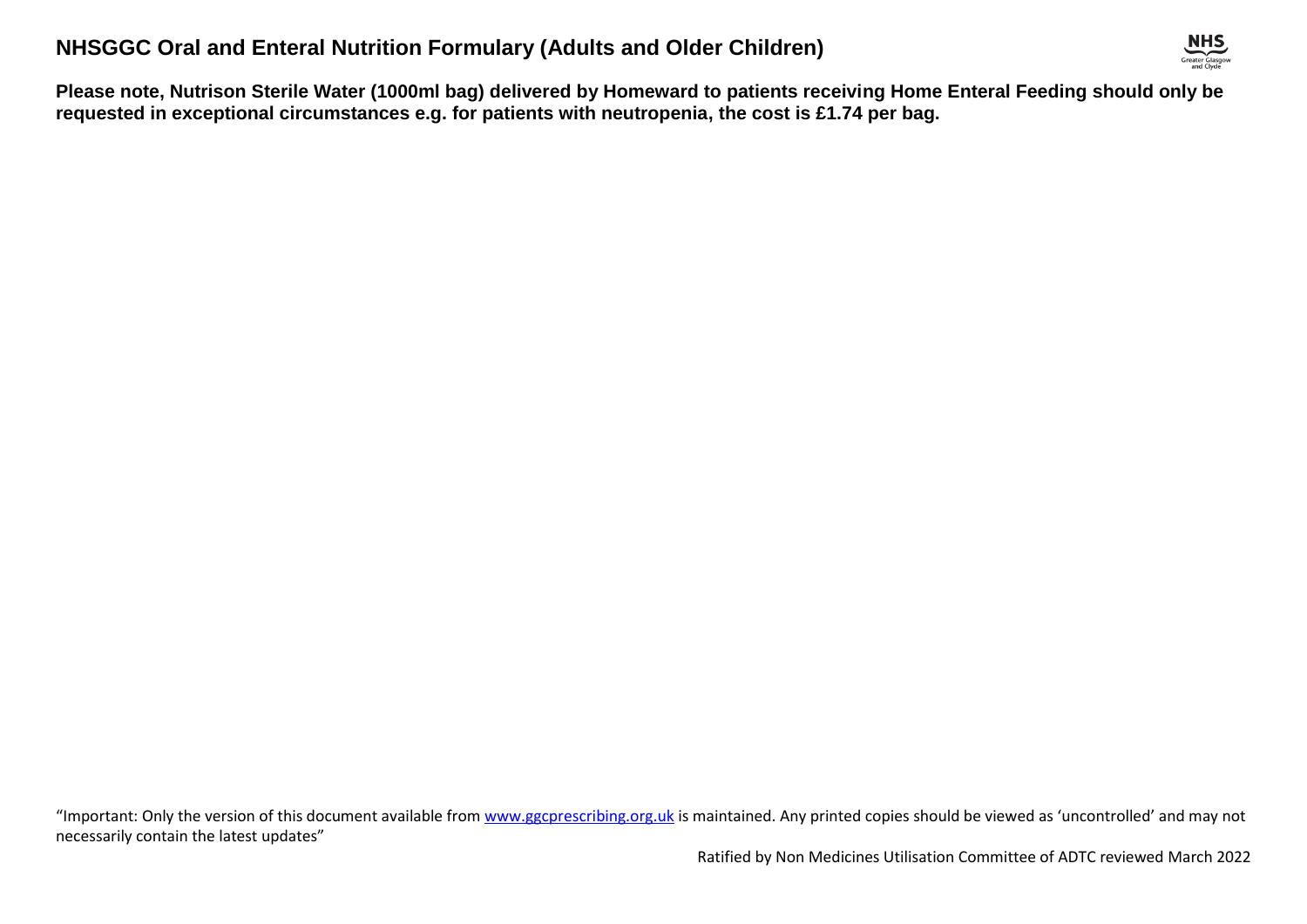

**Please note, Nutrison Sterile Water (1000ml bag) delivered by Homeward to patients receiving Home Enteral Feeding should only be requested in exceptional circumstances e.g. for patients with neutropenia, the cost is £1.74 per bag.**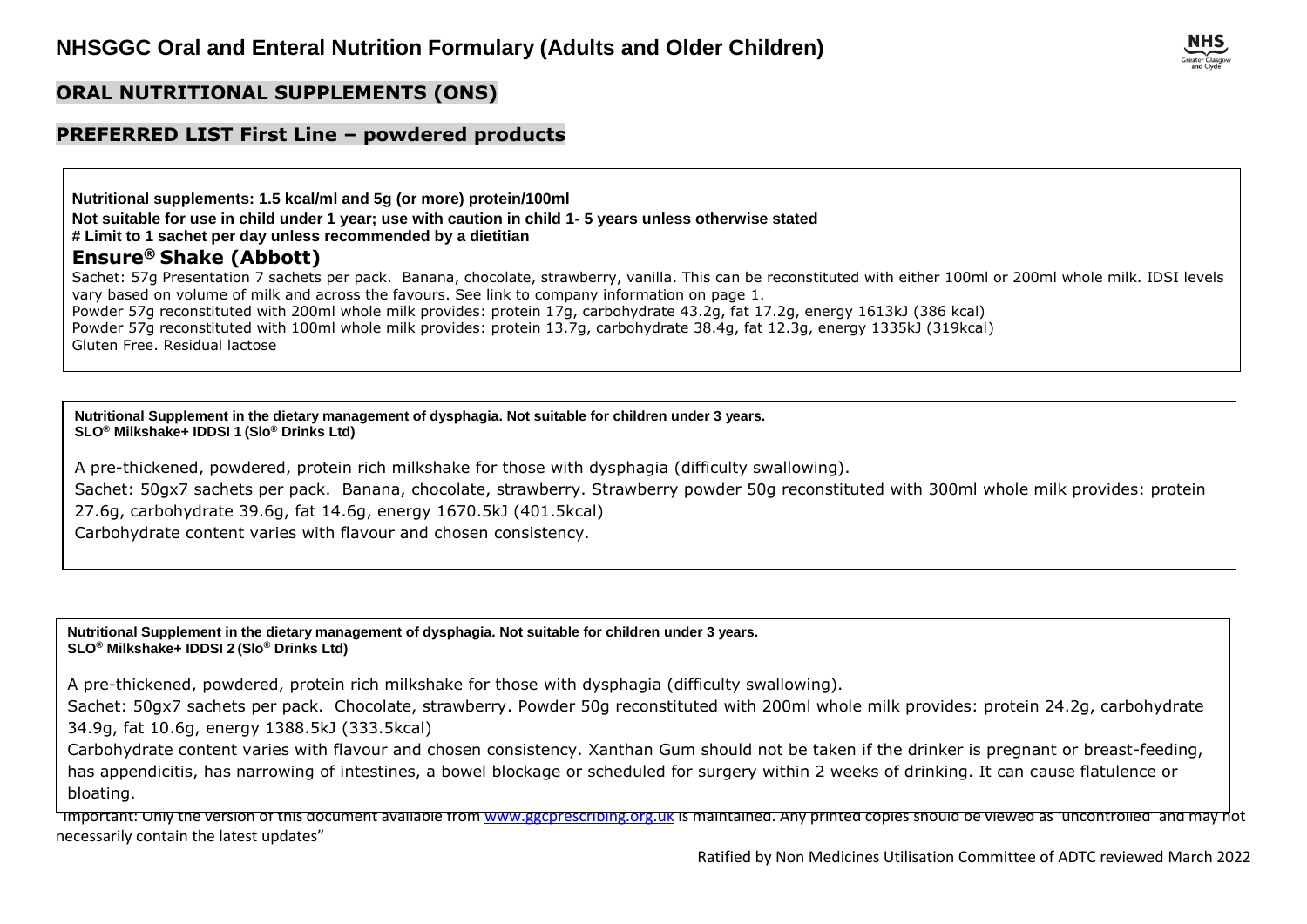## **ORAL NUTRITIONAL SUPPLEMENTS (ONS)**

#### **PREFERRED LIST First Line – powdered products**

**Nutritional supplements: 1.5 kcal/ml and 5g (or more) protein/100ml Not suitable for use in child under 1 year; use with caution in child 1- 5 years unless otherwise stated # Limit to 1 sachet per day unless recommended by a dietitian Ensure® Shake (Abbott)** Sachet: 57g Presentation 7 sachets per pack. Banana, chocolate, strawberry, vanilla. This can be reconstituted with either 100ml or 200ml whole milk. IDSI levels vary based on volume of milk and across the favours. See link to company information on page 1. Powder 57g reconstituted with 200ml whole milk provides: protein 17g, carbohydrate 43.2g, fat 17.2g, energy 1613kJ (386 kcal) Powder 57g reconstituted with 100ml whole milk provides: protein 13.7g, carbohydrate 38.4g, fat 12.3g, energy 1335kJ (319kcal) Gluten Free. Residual lactose

**Nutritional Supplement in the dietary management of dysphagia. Not suitable for children under 3 years. SLO® Milkshake+ IDDSI 1 (Slo® Drinks Ltd)**

A pre-thickened, powdered, protein rich milkshake for those with dysphagia (difficulty swallowing).

Sachet: 50gx7 sachets per pack. Banana, chocolate, strawberry. Strawberry powder 50g reconstituted with 300ml whole milk provides: protein 27.6g, carbohydrate 39.6g, fat 14.6g, energy 1670.5kJ (401.5kcal)

Carbohydrate content varies with flavour and chosen consistency.

**Nutritional Supplement in the dietary management of dysphagia. Not suitable for children under 3 years. SLO® Milkshake+ IDDSI 2 (Slo® Drinks Ltd)**

A pre-thickened, powdered, protein rich milkshake for those with dysphagia (difficulty swallowing).

Sachet: 50gx7 sachets per pack. Chocolate, strawberry. Powder 50g reconstituted with 200ml whole milk provides: protein 24.2g, carbohydrate 34.9g, fat 10.6g, energy 1388.5kJ (333.5kcal)

Carbohydrate content varies with flavour and chosen consistency. Xanthan Gum should not be taken if the drinker is pregnant or breast-feeding, has appendicitis, has narrowing of intestines, a bowel blockage or scheduled for surgery within 2 weeks of drinking. It can cause flatulence or bloating.

"Important: Only the version of this document available from [www.ggcprescribing.org.uk](http://www.ggcprescribing.org.uk/) is maintained. Any printed copies should be viewed as 'uncontrolled' and may not necessarily contain the latest updates"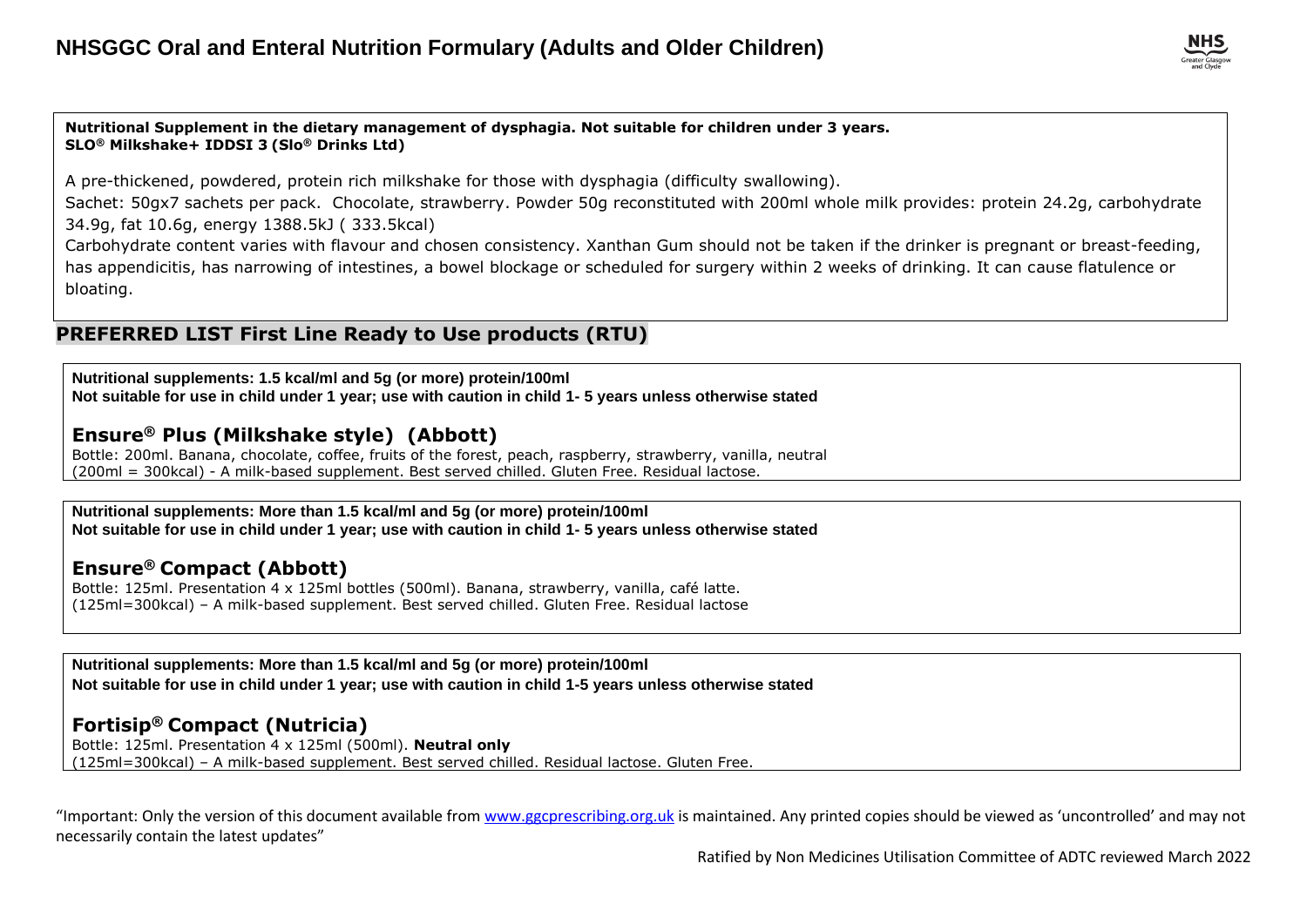**Nutritional Supplement in the dietary management of dysphagia. Not suitable for children under 3 years. SLO® Milkshake+ IDDSI 3 (Slo® Drinks Ltd)**

A pre-thickened, powdered, protein rich milkshake for those with dysphagia (difficulty swallowing).

Sachet: 50gx7 sachets per pack. Chocolate, strawberry. Powder 50g reconstituted with 200ml whole milk provides: protein 24.2g, carbohydrate 34.9g, fat 10.6g, energy 1388.5kJ ( 333.5kcal)

Carbohydrate content varies with flavour and chosen consistency. Xanthan Gum should not be taken if the drinker is pregnant or breast-feeding, has appendicitis, has narrowing of intestines, a bowel blockage or scheduled for surgery within 2 weeks of drinking. It can cause flatulence or bloating.

#### **PREFERRED LIST First Line Ready to Use products (RTU)**

**Nutritional supplements: 1.5 kcal/ml and 5g (or more) protein/100ml Not suitable for use in child under 1 year; use with caution in child 1- 5 years unless otherwise stated**

#### **Ensure® Plus (Milkshake style) (Abbott)**

Bottle: 200ml. Banana, chocolate, coffee, fruits of the forest, peach, raspberry, strawberry, vanilla, neutral (200ml = 300kcal) - A milk-based supplement. Best served chilled. Gluten Free. Residual lactose.

#### **Nutritional supplements: More than 1.5 kcal/ml and 5g (or more) protein/100ml Not suitable for use in child under 1 year; use with caution in child 1- 5 years unless otherwise stated**

#### **Ensure® Compact (Abbott)**

Bottle: 125ml. Presentation 4 x 125ml bottles (500ml). Banana, strawberry, vanilla, café latte. (125ml=300kcal) – A milk-based supplement. Best served chilled. Gluten Free. Residual lactose

**Nutritional supplements: More than 1.5 kcal/ml and 5g (or more) protein/100ml Not suitable for use in child under 1 year; use with caution in child 1-5 years unless otherwise stated**

## **Fortisip® Compact (Nutricia)**

Bottle: 125ml. Presentation 4 x 125ml (500ml). **Neutral only**  (125ml=300kcal) – A milk-based supplement. Best served chilled. Residual lactose. Gluten Free.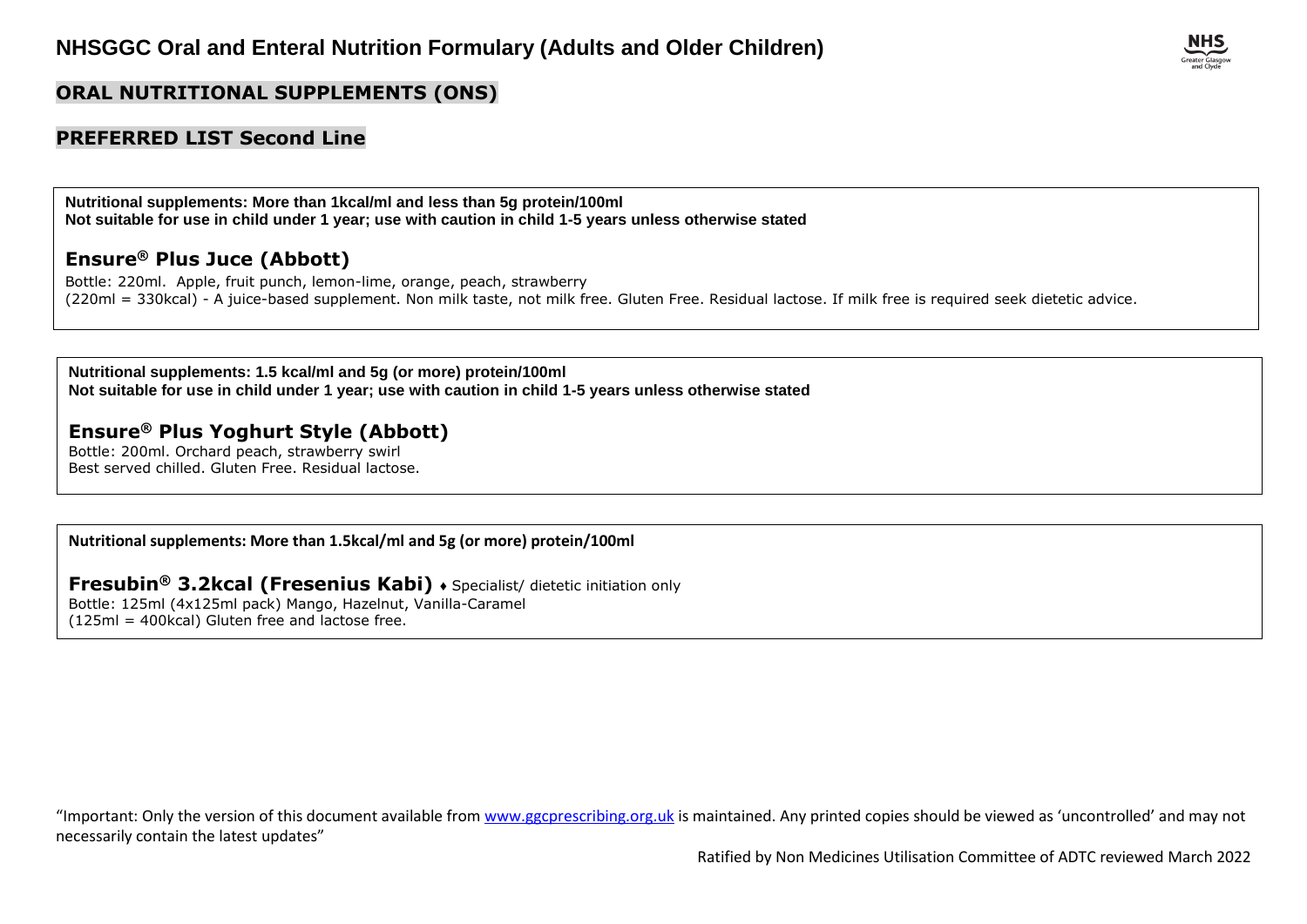

#### **ORAL NUTRITIONAL SUPPLEMENTS (ONS)**

#### **PREFERRED LIST Second Line**

**Nutritional supplements: More than 1kcal/ml and less than 5g protein/100ml Not suitable for use in child under 1 year; use with caution in child 1-5 years unless otherwise stated**

## **Ensure® Plus Juce (Abbott)**

Bottle: 220ml. Apple, fruit punch, lemon-lime, orange, peach, strawberry (220ml = 330kcal) - A juice-based supplement. Non milk taste, not milk free. Gluten Free. Residual lactose. If milk free is required seek dietetic advice.

**Nutritional supplements: 1.5 kcal/ml and 5g (or more) protein/100ml Not suitable for use in child under 1 year; use with caution in child 1-5 years unless otherwise stated**

#### **Ensure® Plus Yoghurt Style (Abbott)**

Bottle: 200ml. Orchard peach, strawberry swirl Best served chilled. Gluten Free. Residual lactose.

**Nutritional supplements: More than 1.5kcal/ml and 5g (or more) protein/100ml**

## **Fresubin® 3.2kcal (Fresenius Kabi)** ♦ Specialist/ dietetic initiation only

Bottle: 125ml (4x125ml pack) Mango, Hazelnut, Vanilla-Caramel (125ml = 400kcal) Gluten free and lactose free.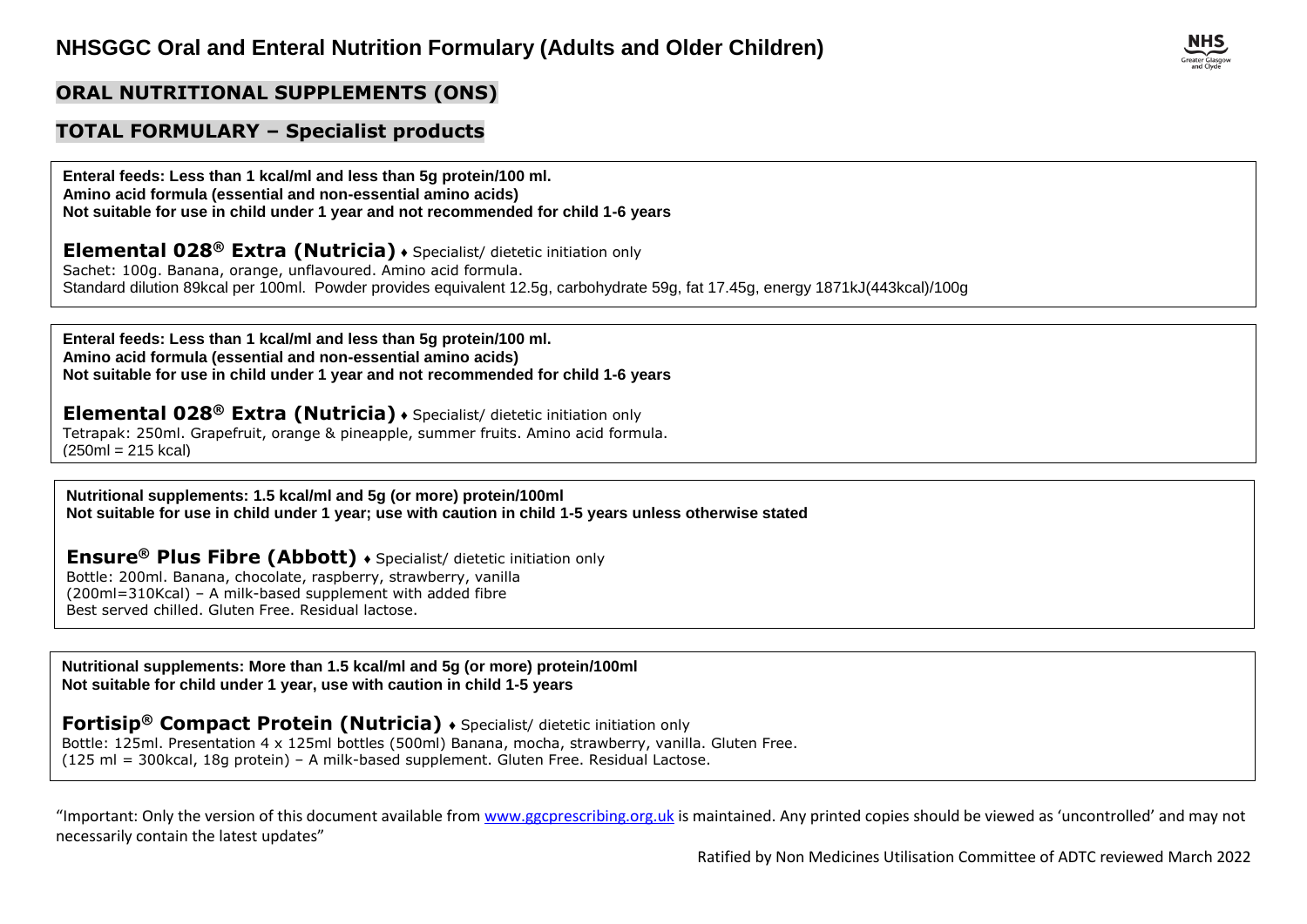#### **ORAL NUTRITIONAL SUPPLEMENTS (ONS)**

#### **TOTAL FORMULARY – Specialist products**

**Enteral feeds: Less than 1 kcal/ml and less than 5g protein/100 ml. Amino acid formula (essential and non-essential amino acids) Not suitable for use in child under 1 year and not recommended for child 1-6 years**

**Elemental 028® Extra (Nutricia)** ♦ Specialist/ dietetic initiation only

Sachet: 100g. Banana, orange, unflavoured. Amino acid formula. Standard dilution 89kcal per 100ml. Powder provides equivalent 12.5g, carbohydrate 59g, fat 17.45g, energy 1871kJ(443kcal)/100g

**Enteral feeds: Less than 1 kcal/ml and less than 5g protein/100 ml. Amino acid formula (essential and non-essential amino acids) Not suitable for use in child under 1 year and not recommended for child 1-6 years**

**Elemental 028® Extra (Nutricia)** ♦ Specialist/ dietetic initiation only

Tetrapak: 250ml. Grapefruit, orange & pineapple, summer fruits. Amino acid formula.  $(250m1 = 215$  kcal)

**Nutritional supplements: 1.5 kcal/ml and 5g (or more) protein/100ml Not suitable for use in child under 1 year; use with caution in child 1-5 years unless otherwise stated**

**Ensure® Plus Fibre (Abbott)** ♦ Specialist/ dietetic initiation only Bottle: 200ml. Banana, chocolate, raspberry, strawberry, vanilla (200ml=310Kcal) – A milk-based supplement with added fibre Best served chilled. Gluten Free. Residual lactose.

**Nutritional supplements: More than 1.5 kcal/ml and 5g (or more) protein/100ml Not suitable for child under 1 year, use with caution in child 1-5 years**

**Fortisip® Compact Protein (Nutricia)** ♦ Specialist/ dietetic initiation only Bottle: 125ml. Presentation 4 x 125ml bottles (500ml) Banana, mocha, strawberry, vanilla. Gluten Free. (125 ml = 300kcal, 18g protein) – A milk-based supplement. Gluten Free. Residual Lactose.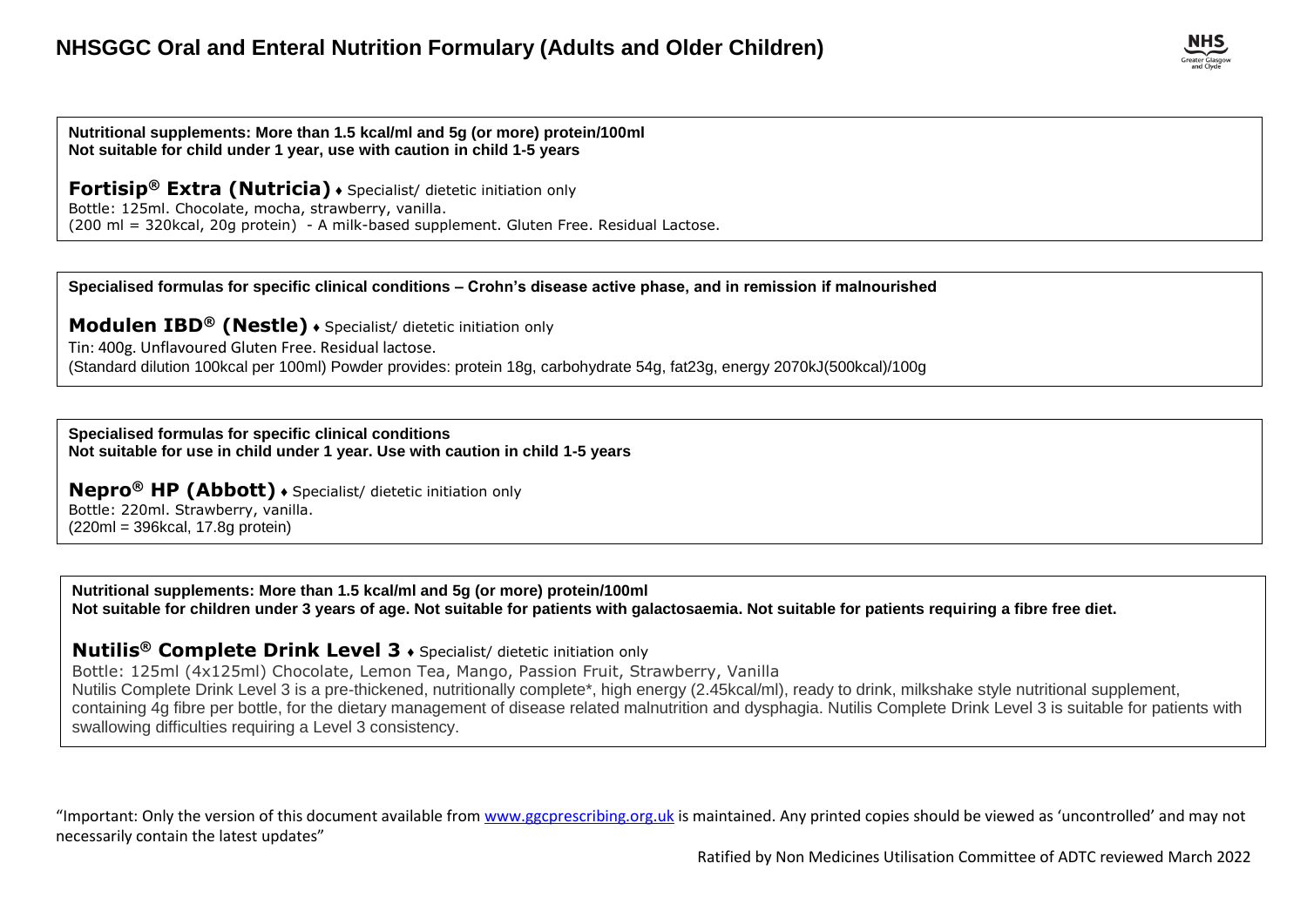**Nutritional supplements: More than 1.5 kcal/ml and 5g (or more) protein/100ml Not suitable for child under 1 year, use with caution in child 1-5 years**

**Fortisip® Extra (Nutricia)** ♦ Specialist/ dietetic initiation only Bottle: 125ml. Chocolate, mocha, strawberry, vanilla. (200 ml = 320kcal, 20g protein) - A milk-based supplement. Gluten Free. Residual Lactose.

**Specialised formulas for specific clinical conditions – Crohn's disease active phase, and in remission if malnourished**

**Modulen IBD® (Nestle)** ♦ Specialist/ dietetic initiation only Tin: 400g. Unflavoured Gluten Free. Residual lactose. (Standard dilution 100kcal per 100ml) Powder provides: protein 18g, carbohydrate 54g, fat23g, energy 2070kJ(500kcal)/100g

**Specialised formulas for specific clinical conditions Not suitable for use in child under 1 year. Use with caution in child 1-5 years**

**Nepro® HP (Abbott)** ♦ Specialist/ dietetic initiation only Bottle: 220ml. Strawberry, vanilla. (220ml = 396kcal, 17.8g protein)

**Nutritional supplements: More than 1.5 kcal/ml and 5g (or more) protein/100ml Not suitable for children under 3 years of age. Not suitable for patients with galactosaemia. Not suitable for patients requiring a fibre free diet.**

#### **Nutilis® Complete Drink Level 3** ♦ Specialist/ dietetic initiation only

Bottle: 125ml (4x125ml) Chocolate, Lemon Tea, Mango, Passion Fruit, Strawberry, Vanilla Nutilis Complete Drink Level 3 is a pre-thickened, nutritionally complete\*, high energy (2.45kcal/ml), ready to drink, milkshake style nutritional supplement, containing 4g fibre per bottle, for the dietary management of disease related malnutrition and dysphagia. Nutilis Complete Drink Level 3 is suitable for patients with swallowing difficulties requiring a Level 3 consistency.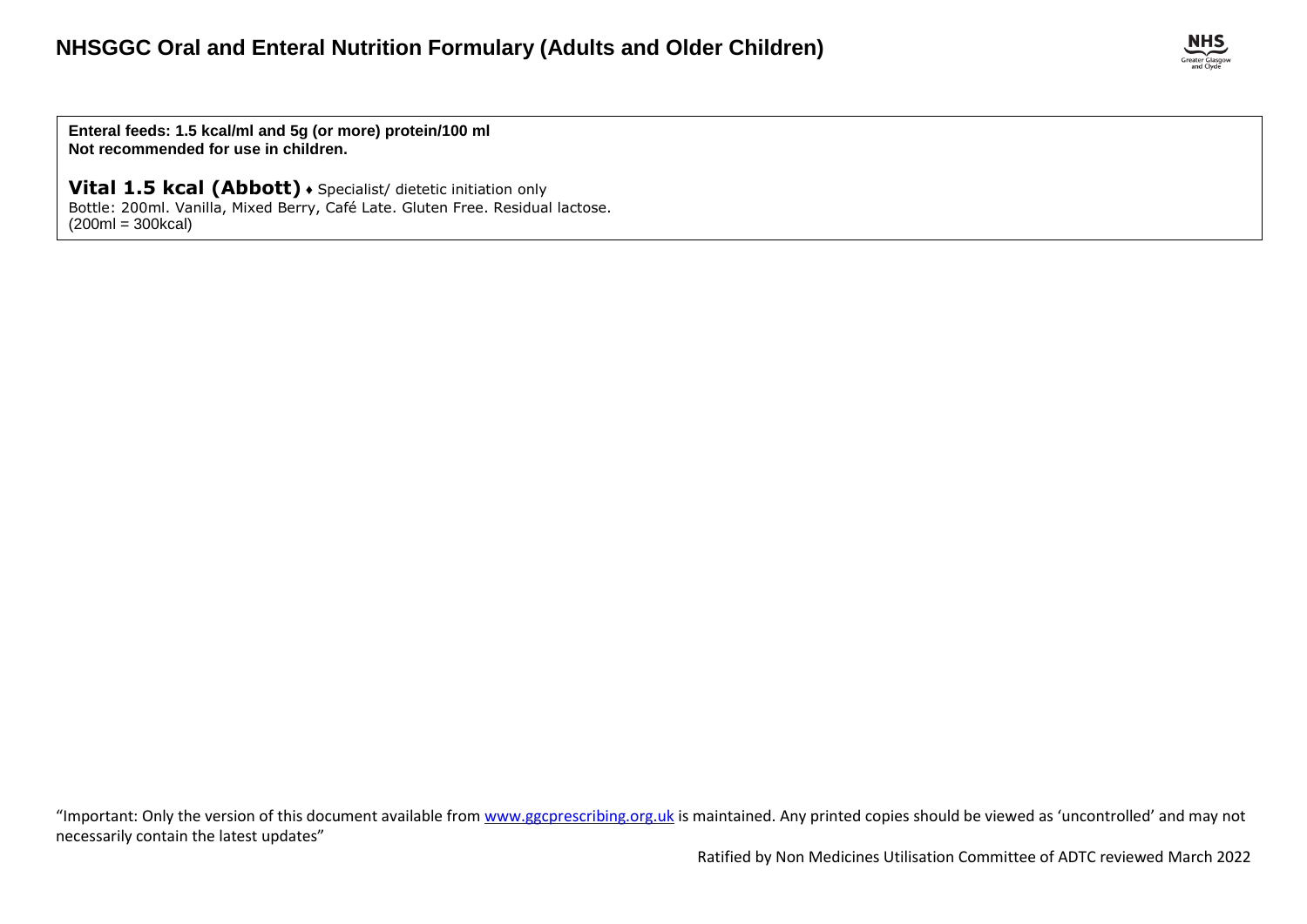

**Enteral feeds: 1.5 kcal/ml and 5g (or more) protein/100 ml Not recommended for use in children.**

**Vital 1.5 kcal (Abbott)** ♦ Specialist/ dietetic initiation only Bottle: 200ml. Vanilla, Mixed Berry, Café Late. Gluten Free. Residual lactose.  $(200ml = 300kcal)$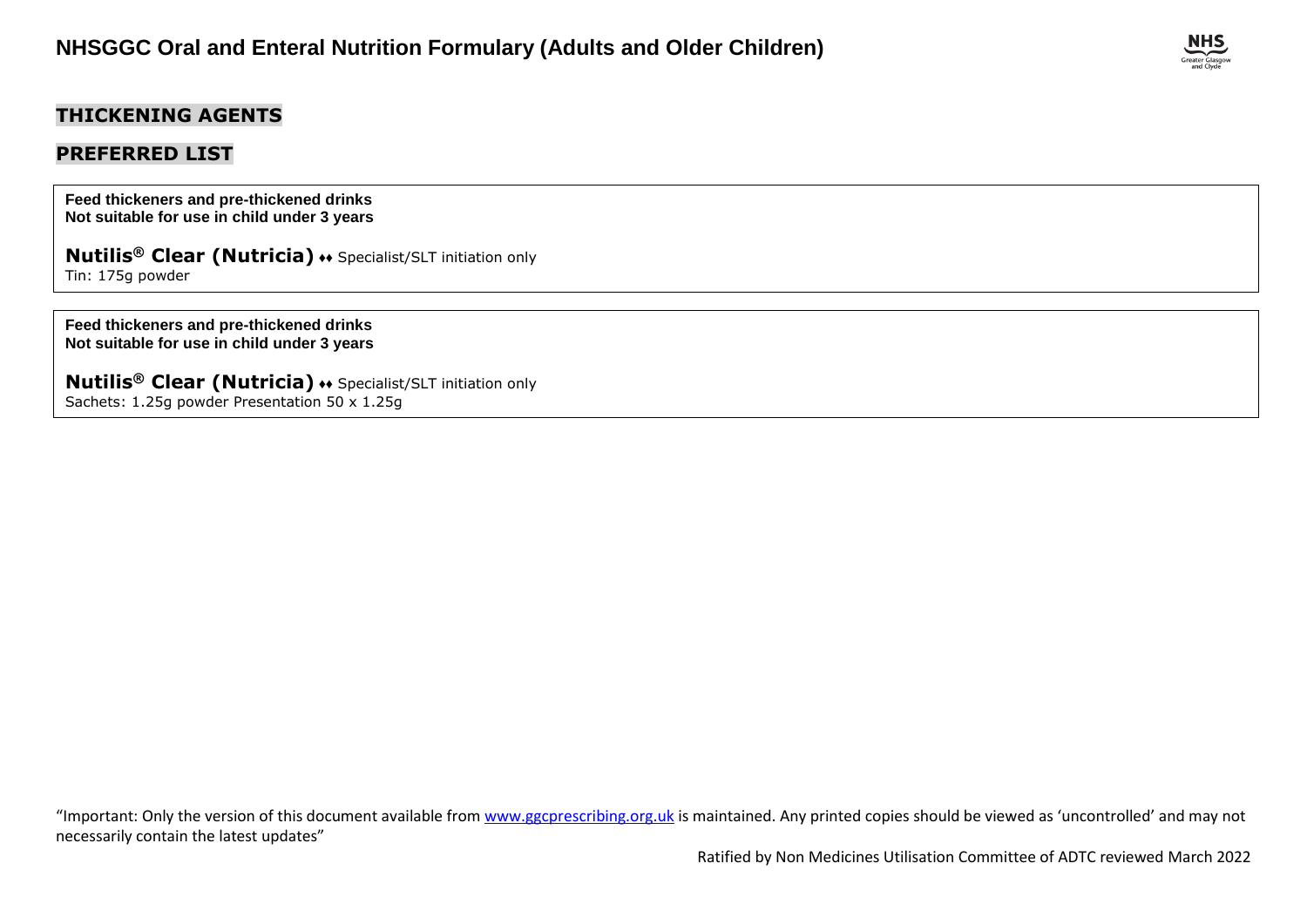## **THICKENING AGENTS**

## **PREFERRED LIST**

**Feed thickeners and pre-thickened drinks Not suitable for use in child under 3 years**

**Nutilis® Clear (Nutricia)** ♦♦ Specialist/SLT initiation only [Tin: 175g](http://www.medicinescomplete.com/mc/bnf/current/PHP39-prices-in-the-bnf.htm) powder

**Feed thickeners and pre-thickened drinks Not suitable for use in child under 3 years**

**Nutilis® Clear (Nutricia)** ♦♦ Specialist/SLT initiation only Sachets: 1.25g powder Presentation 50 x 1.25g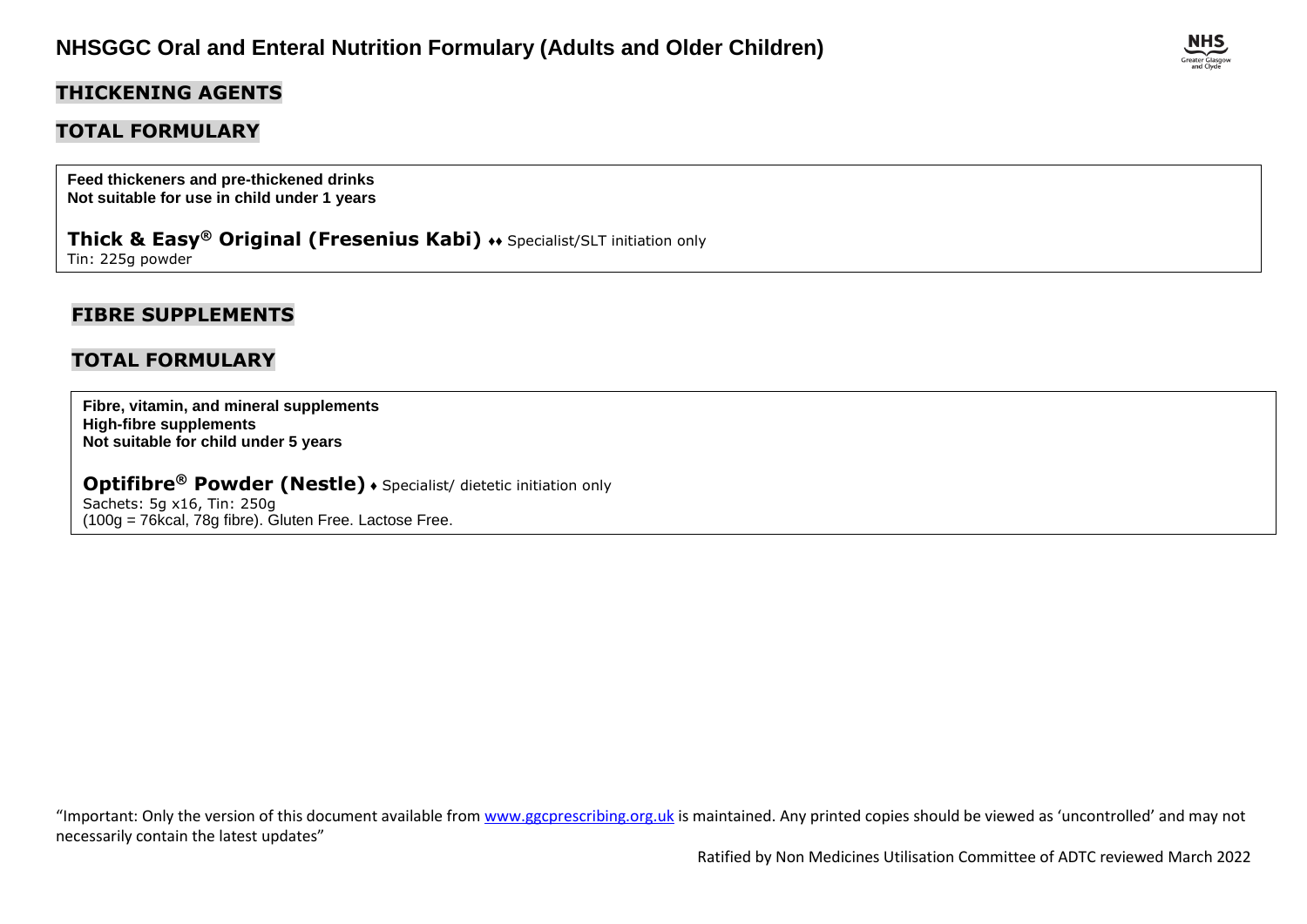### **THICKENING AGENTS**

### **TOTAL FORMULARY**

**Feed thickeners and pre-thickened drinks Not suitable for use in child under 1 years**

**Thick & Easy<sup>®</sup> Original (Fresenius Kabi)**  $\leftrightarrow$  **Specialist/SLT initiation only** Tin: 225g powder

## **FIBRE SUPPLEMENTS**

#### **TOTAL FORMULARY**

**Fibre, vitamin, and mineral supplements High-fibre supplements Not suitable for child under 5 years**

**Optifibre® Powder (Nestle)** ♦ Specialist/ dietetic initiation only Sachets: 5g x16, Tin: 250g (100g = 76kcal, 78g fibre). Gluten Free. Lactose Free.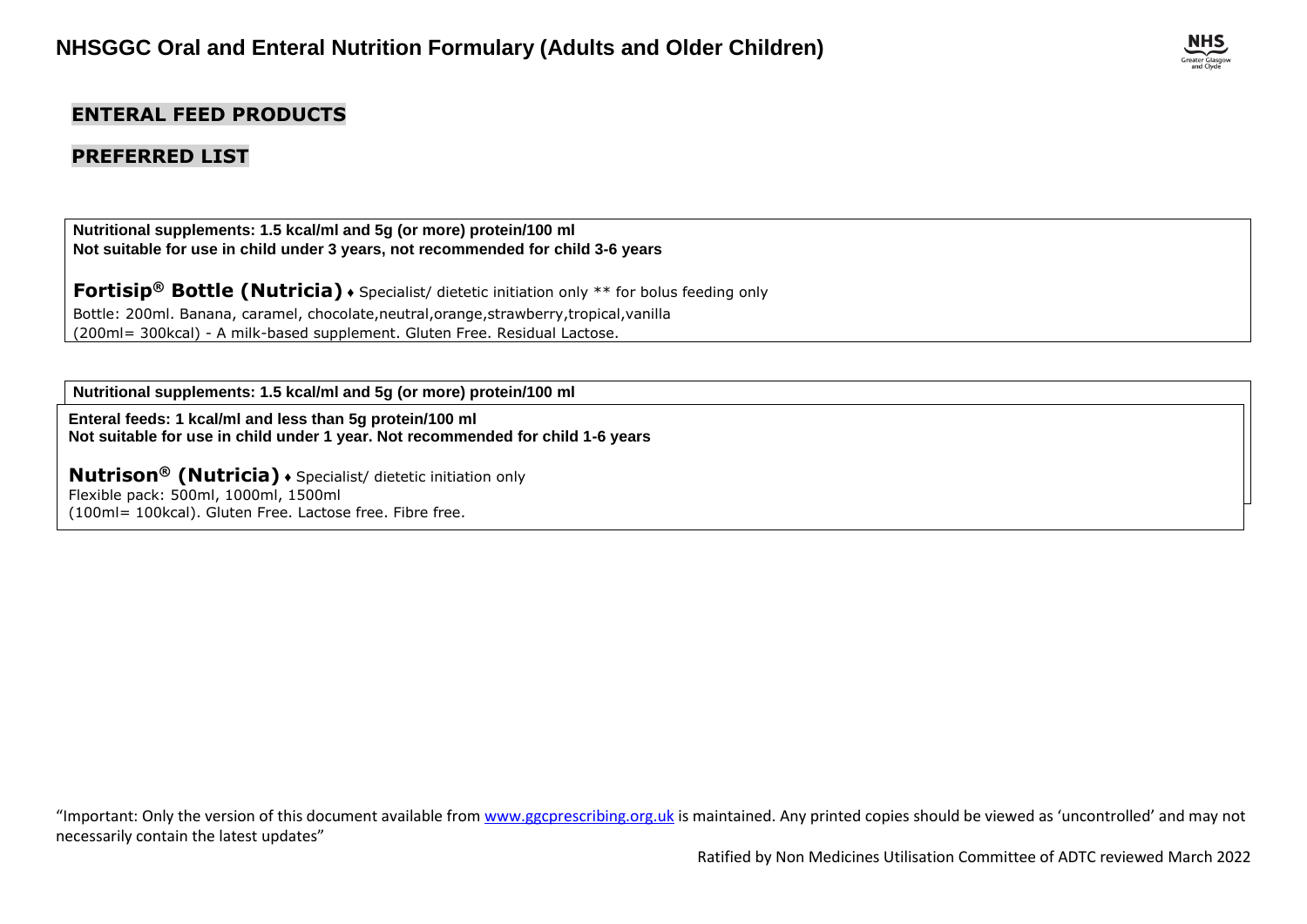## **ENTERAL FEED PRODUCTS**

## **PREFERRED LIST**

**Nutritional supplements: 1.5 kcal/ml and 5g (or more) protein/100 ml Not suitable for use in child under 3 years, not recommended for child 3-6 years**

**Fortisip® Bottle (Nutricia)** ♦ Specialist/ dietetic initiation only \*\* for bolus feeding only Bottle: 200ml. Banana, caramel, chocolate,neutral,orange,strawberry,tropical,vanilla (200ml= 300kcal) - A milk-based supplement. Gluten Free. Residual Lactose.

**Nutritional supplements: 1.5 kcal/ml and 5g (or more) protein/100 ml**

**Not suitable for use in child under 3 years, not recommended for child 3-6 years Enteral feeds: 1 kcal/ml and less than 5g protein/100 ml Fortisip® Compact Fibre (Nutricia)** ♦ Specialist/ dietetic initiation only \*\* for bolus feeding only **Not suitable for use in child under 1 year. Not recommended for child 1-6 years**

 $Nutrison®$  (Nutricia)  $\bullet$  Specialist/ dietetic initiation only (125ml = 300kcal) - A milk-based supplement. Gluten Free. Residual Lactose. Flexible pack: 500ml, 1000ml, 1500ml (100ml= 100kcal). Gluten Free. Lactose free. Fibre free.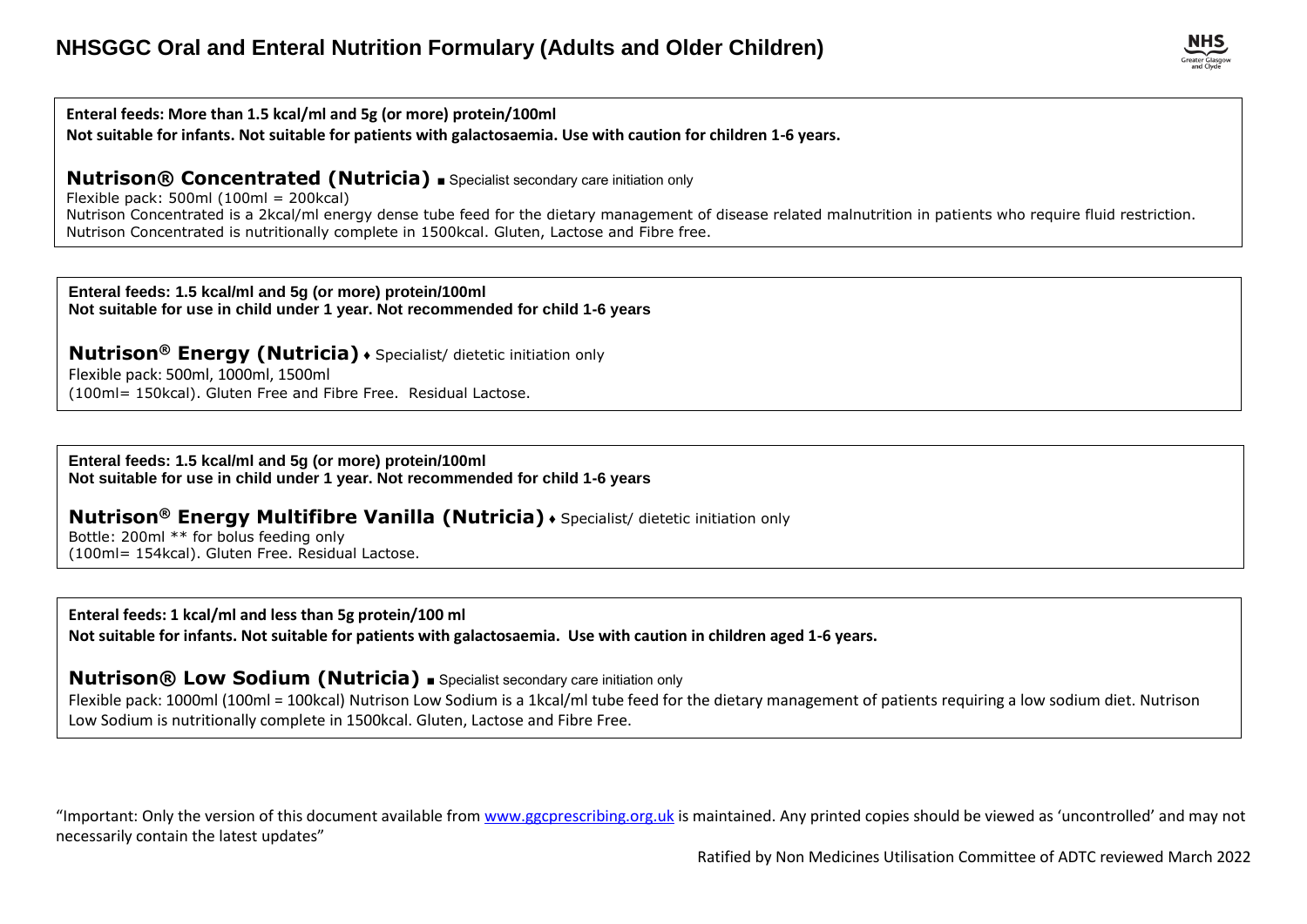**Enteral feeds: More than 1.5 kcal/ml and 5g (or more) protein/100ml** 

**Not suitable for infants. Not suitable for patients with galactosaemia. Use with caution for children 1-6 years.**

#### **Nutrison® Concentrated (Nutricia) ■** Specialist secondary care initiation only

Flexible pack: 500ml  $(100m = 200kcal)$ Nutrison Concentrated is a 2kcal/ml energy dense tube feed for the dietary management of disease related malnutrition in patients who require fluid restriction. Nutrison Concentrated is nutritionally complete in 1500kcal. Gluten, Lactose and Fibre free.

**Enteral feeds: 1.5 kcal/ml and 5g (or more) protein/100ml Not suitable for use in child under 1 year. Not recommended for child 1-6 years**

**Nutrison® Energy (Nutricia)** ♦ Specialist/ dietetic initiation only

Flexible pack: 500ml, 1000ml, 1500ml (100ml= 150kcal). Gluten Free and Fibre Free. Residual Lactose.

**Enteral feeds: 1.5 kcal/ml and 5g (or more) protein/100ml Not suitable for use in child under 1 year. Not recommended for child 1-6 years**

**Nutrison® Energy Multifibre Vanilla (Nutricia)** ♦ Specialist/ dietetic initiation only

Bottle: 200ml \*\* for bolus feeding only (100ml= 154kcal). Gluten Free. Residual Lactose.

**Enteral feeds: 1 kcal/ml and less than 5g protein/100 ml**

**Not suitable for infants. Not suitable for patients with galactosaemia. Use with caution in children aged 1-6 years.**

**Nutrison® Low Sodium (Nutricia)** ■ Specialist secondary care initiation only

Flexible pack: 1000ml (100ml = 100kcal) Nutrison Low Sodium is a 1kcal/ml tube feed for the dietary management of patients requiring a low sodium diet. Nutrison Low Sodium is nutritionally complete in 1500kcal. Gluten, Lactose and Fibre Free.

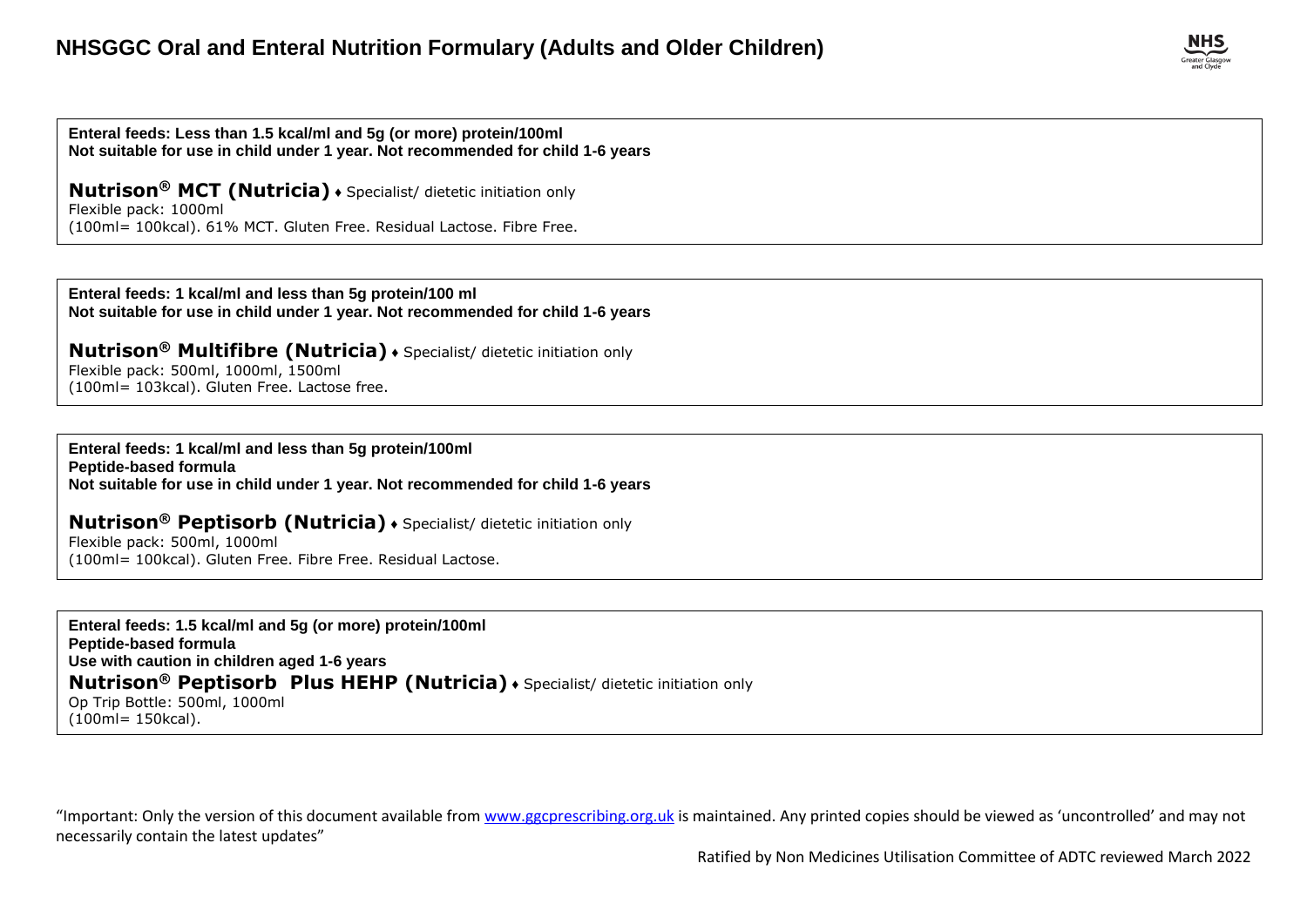**Enteral feeds: Less than 1.5 kcal/ml and 5g (or more) protein/100ml Not suitable for use in child under 1 year. Not recommended for child 1-6 years**

**Nutrison® MCT (Nutricia)** ♦ Specialist/ dietetic initiation only Flexible pack: 1000ml (100ml= 100kcal). 61% MCT. Gluten Free. Residual Lactose. Fibre Free.

**Enteral feeds: 1 kcal/ml and less than 5g protein/100 ml Not suitable for use in child under 1 year. Not recommended for child 1-6 years**

**Nutrison® Multifibre (Nutricia)** ♦ Specialist/ dietetic initiation only Flexible pack: 500ml, 1000ml, 1500ml

(100ml= 103kcal). Gluten Free. Lactose free.

**Enteral feeds: 1 kcal/ml and less than 5g protein/100ml Peptide-based formula Not suitable for use in child under 1 year. Not recommended for child 1-6 years**

**Nutrison® Peptisorb (Nutricia)** ♦ Specialist/ dietetic initiation only Flexible pack: 500ml, 1000ml (100ml= 100kcal). Gluten Free. Fibre Free. Residual Lactose.

**Enteral feeds: 1.5 kcal/ml and 5g (or more) protein/100ml Peptide-based formula Use with caution in children aged 1-6 years Nutrison® Peptisorb Plus HEHP (Nutricia)** ♦ Specialist/ dietetic initiation only Op Trip Bottle: 500ml, 1000ml (100ml= 150kcal).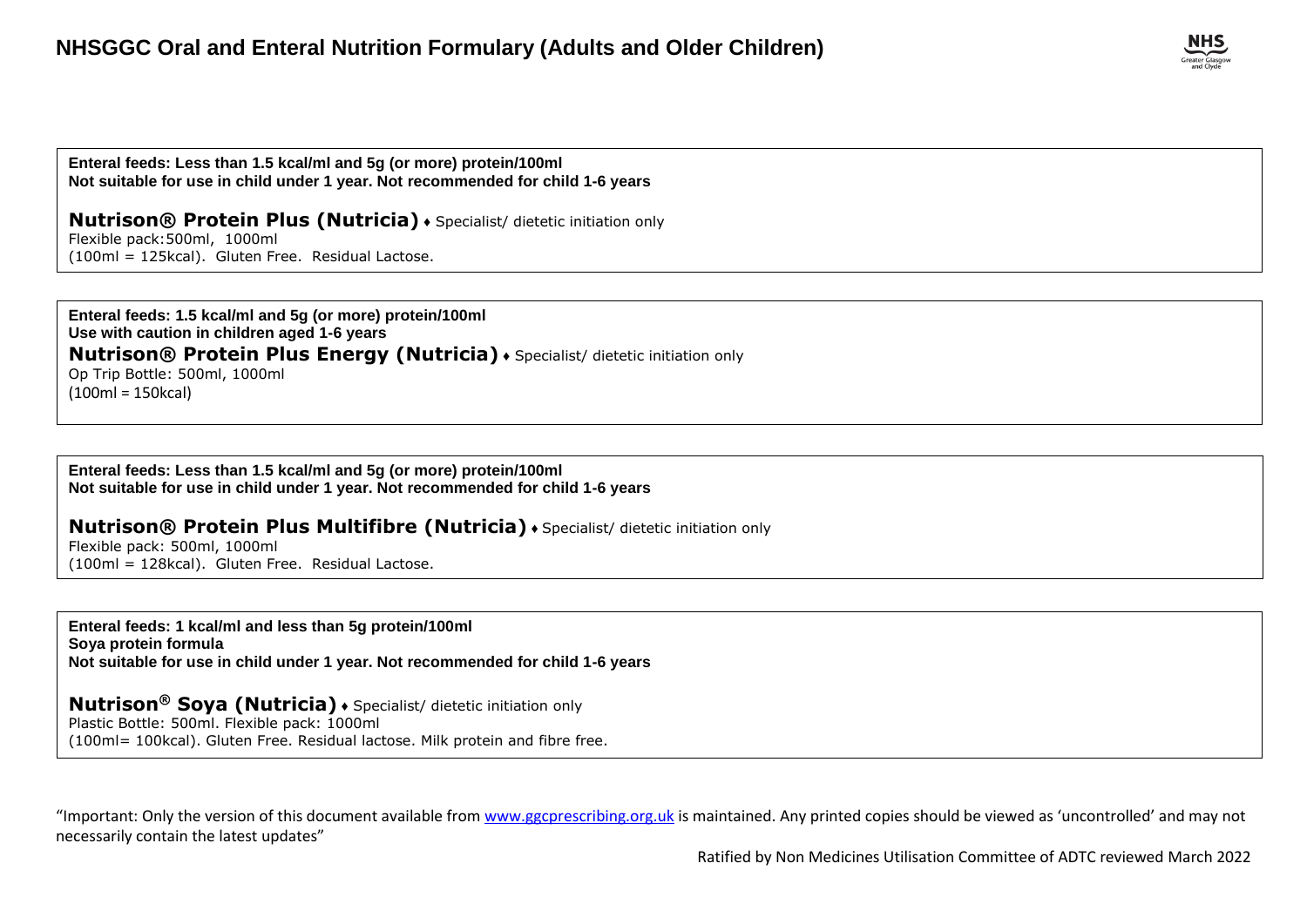

**Enteral feeds: Less than 1.5 kcal/ml and 5g (or more) protein/100ml Not suitable for use in child under 1 year. Not recommended for child 1-6 years**

**Nutrison® Protein Plus (Nutricia)** ♦ Specialist/ dietetic initiation only

Flexible pack:500ml, 1000ml (100ml = 125kcal). Gluten Free. Residual Lactose.

**Enteral feeds: 1.5 kcal/ml and 5g (or more) protein/100ml Use with caution in children aged 1-6 years Nutrison® Protein Plus Energy (Nutricia)** ♦ Specialist/ dietetic initiation only Op Trip Bottle: 500ml, 1000ml (100ml = 150kcal)

**Enteral feeds: Less than 1.5 kcal/ml and 5g (or more) protein/100ml Not suitable for use in child under 1 year. Not recommended for child 1-6 years**

#### **Nutrison® Protein Plus Multifibre (Nutricia)** ♦ Specialist/ dietetic initiation only

Flexible pack: 500ml, 1000ml (100ml = 128kcal). Gluten Free. Residual Lactose.

**Enteral feeds: 1 kcal/ml and less than 5g protein/100ml Soya protein formula Not suitable for use in child under 1 year. Not recommended for child 1-6 years**

#### **Nutrison® Soya (Nutricia)** ♦ Specialist/ dietetic initiation only

Plastic Bottle: 500ml. Flexible pack: 1000ml

(100ml= 100kcal). Gluten Free. Residual lactose. Milk protein and fibre free.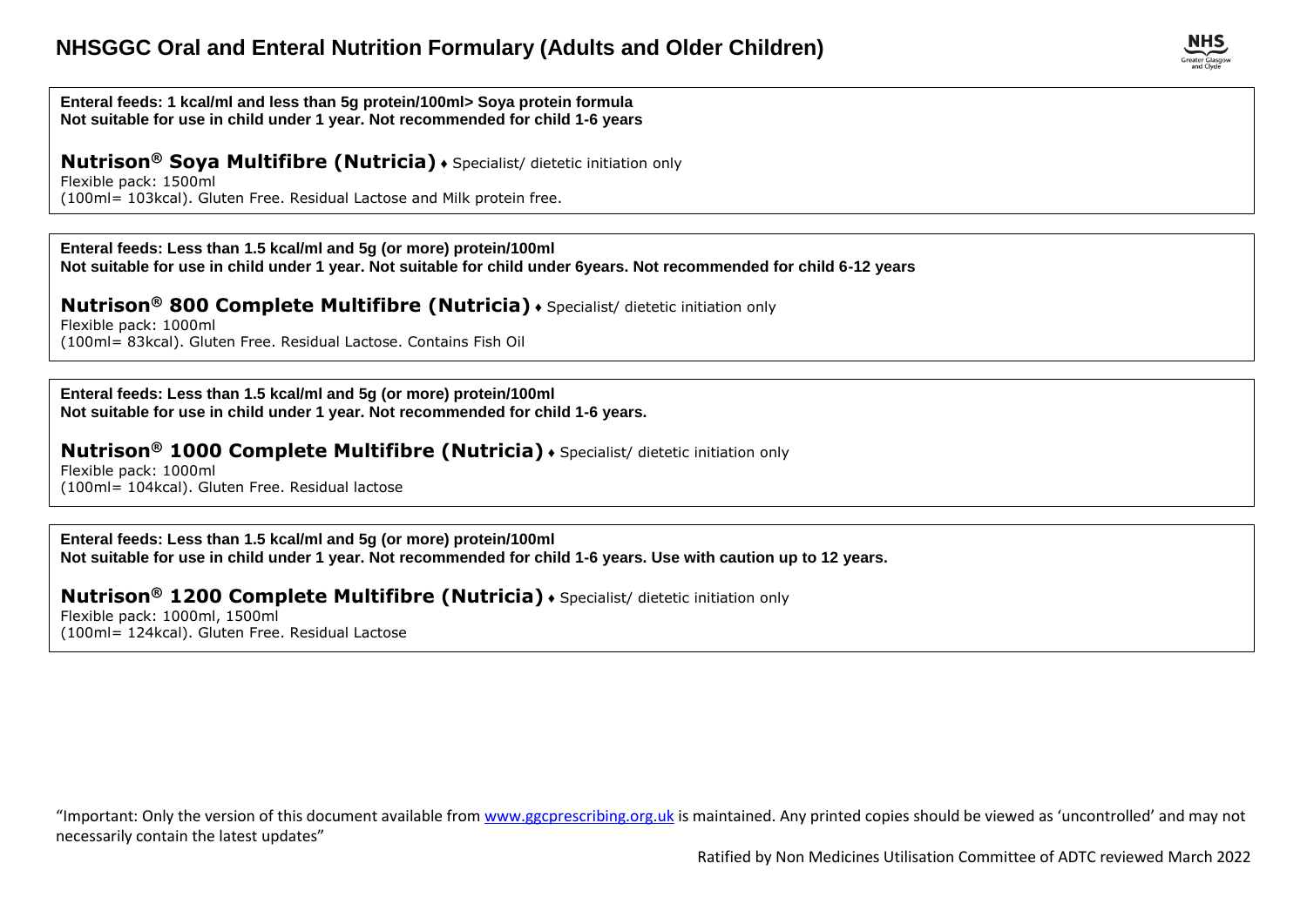

#### **Enteral feeds: 1 kcal/ml and less than 5g protein/100ml> Soya protein formula Not suitable for use in child under 1 year. Not recommended for child 1-6 years**

## **Nutrison® Soya Multifibre (Nutricia)** ♦ Specialist/ dietetic initiation only

Flexible pack: 1500ml (100ml= 103kcal). Gluten Free. Residual Lactose and Milk protein free.

#### **Enteral feeds: Less than 1.5 kcal/ml and 5g (or more) protein/100ml**

**Not suitable for use in child under 1 year. Not suitable for child under 6years. Not recommended for child 6-12 years**

#### **Nutrison® 800 Complete Multifibre (Nutricia)** ♦ Specialist/ dietetic initiation only

Flexible pack: 1000ml (100ml= 83kcal). Gluten Free. Residual Lactose. Contains Fish Oil

**Enteral feeds: Less than 1.5 kcal/ml and 5g (or more) protein/100ml Not suitable for use in child under 1 year. Not recommended for child 1-6 years.**

#### **Nutrison® 1000 Complete Multifibre (Nutricia)** ♦ Specialist/ dietetic initiation only

Flexible pack: 1000ml (100ml= 104kcal). Gluten Free. Residual lactose

**Enteral feeds: Less than 1.5 kcal/ml and 5g (or more) protein/100ml Not suitable for use in child under 1 year. Not recommended for child 1-6 years. Use with caution up to 12 years.**

### **Nutrison® 1200 Complete Multifibre (Nutricia)** ♦ Specialist/ dietetic initiation only

Flexible pack: 1000ml, 1500ml (100ml= 124kcal). Gluten Free. Residual Lactose